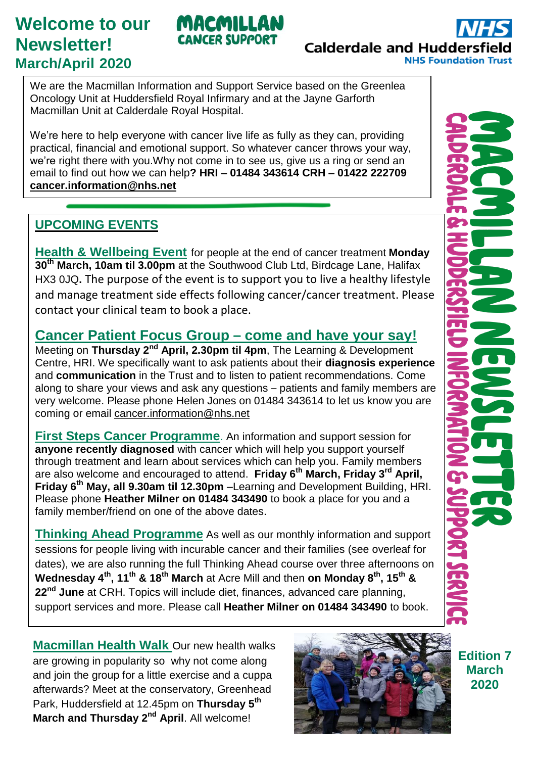# **Welcome to our Newsletter! March/April 2020**

# **Calderdale and Hudders NHS Foundation Trust**

We are the Macmillan Information and Support Service based on the Greenlea Oncology Unit at Huddersfield Royal Infirmary and at the Jayne Garforth Macmillan Unit at Calderdale Royal Hospital.

MACMILLAN NCER SUPPORT

We're here to help everyone with cancer live life as fully as they can, providing practical, financial and emotional support. So whatever cancer throws your way, we're right there with you.Why not come in to see us, give us a ring or send an email to find out how we can help**? HRI – 01484 343614 CRH – 01422 222709 [cancer.information@nhs.net](mailto:cancer.information@nhs.net)**

#### **UPCOMING EVENTS**

**Health & Wellbeing Event** for people at the end of cancer treatment **Monday 30th March, 10am til 3.00pm** at the Southwood Club Ltd, Birdcage Lane, Halifax HX3 0JQ**.** The purpose of the event is to support you to live a healthy lifestyle and manage treatment side effects following cancer/cancer treatment. Please contact your clinical team to book a place.

### **Cancer Patient Focus Group – come and have your say!**

Meeting on **Thursday 2nd April, 2.30pm til 4pm**, The Learning & Development Centre, HRI. We specifically want to ask patients about their **diagnosis experience** and **communication** in the Trust and to listen to patient recommendations. Come along to share your views and ask any questions – patients and family members are very welcome. Please phone Helen Jones on 01484 343614 to let us know you are coming or email [cancer.information@nhs.net](mailto:cancer.information@nhs.net)

**First Steps Cancer Programme**. An information and support session for **anyone recently diagnosed** with cancer which will help you support yourself through treatment and learn about services which can help you. Family members are also welcome and encouraged to attend. **Friday 6th March, Friday 3rd April, Friday 6th May, all 9.30am til 12.30pm** –Learning and Development Building, HRI. Please phone **Heather Milner on 01484 343490** to book a place for you and a family member/friend on one of the above dates.

**Thinking Ahead Programme** As well as our monthly information and support sessions for people living with incurable cancer and their families (see overleaf for dates), we are also running the full Thinking Ahead course over three afternoons on **Wednesday 4th, 11th & 18th March** at Acre Mill and then **on Monday 8th, 15th & 22nd June** at CRH. Topics will include diet, finances, advanced care planning, support services and more. Please call **Heather Milner on 01484 343490** to book.



**Macmillan Health Walk** Our new health walks are growing in popularity so why not come along and join the group for a little exercise and a cuppa afterwards? Meet at the conservatory, Greenhead Park, Huddersfield at 12.45pm on **Thursday 5th March and Thursday 2nd April**. All welcome!



**Edition 7 March 2020**